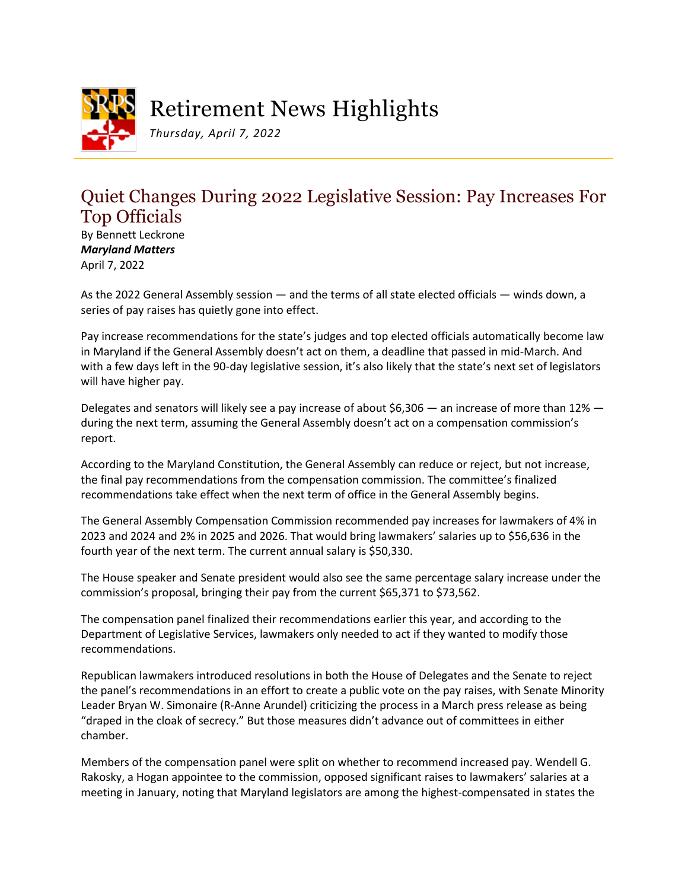

Retirement News Highlights

*Thursday, April 7, 2022*

## Quiet Changes During 2022 Legislative Session: Pay Increases For Top Officials

By Bennett Leckrone *Maryland Matters* April 7, 2022

As the 2022 General Assembly session — and the terms of all state elected officials — winds down, a series of pay raises has quietly gone into effect.

Pay increase recommendations for the state's judges and top elected officials automatically become law in Maryland if the General Assembly doesn't act on them, a deadline that passed in mid-March. And with a few days left in the 90-day legislative session, it's also likely that the state's next set of legislators will have higher pay.

Delegates and senators will likely see a pay increase of about \$6,306 — an increase of more than 12% during the next term, assuming the General Assembly doesn't act on a compensation commission's report.

According to the Maryland Constitution, the General Assembly can reduce or reject, but not increase, the final pay recommendations from the compensation commission. The committee's finalized recommendations take effect when the next term of office in the General Assembly begins.

The General Assembly Compensation Commission recommended pay increases for lawmakers of 4% in 2023 and 2024 and 2% in 2025 and 2026. That would bring lawmakers' salaries up to \$56,636 in the fourth year of the next term. The current annual salary is \$50,330.

The House speaker and Senate president would also see the same percentage salary increase under the commission's proposal, bringing their pay from the current \$65,371 to \$73,562.

The compensation panel finalized their recommendations earlier this year, and according to the Department of Legislative Services, lawmakers only needed to act if they wanted to modify those recommendations.

Republican lawmakers introduced resolutions in both the House of Delegates and the Senate to reject the panel's recommendations in an effort to create a public vote on the pay raises, with Senate Minority Leader Bryan W. Simonaire (R-Anne Arundel) criticizing the process in a March press release as being "draped in the cloak of secrecy." But those measures didn't advance out of committees in either chamber.

Members of the compensation panel were split on whether to recommend increased pay. Wendell G. Rakosky, a Hogan appointee to the commission, opposed significant raises to lawmakers' salaries at a meeting in January, noting that Maryland legislators are among the highest-compensated in states the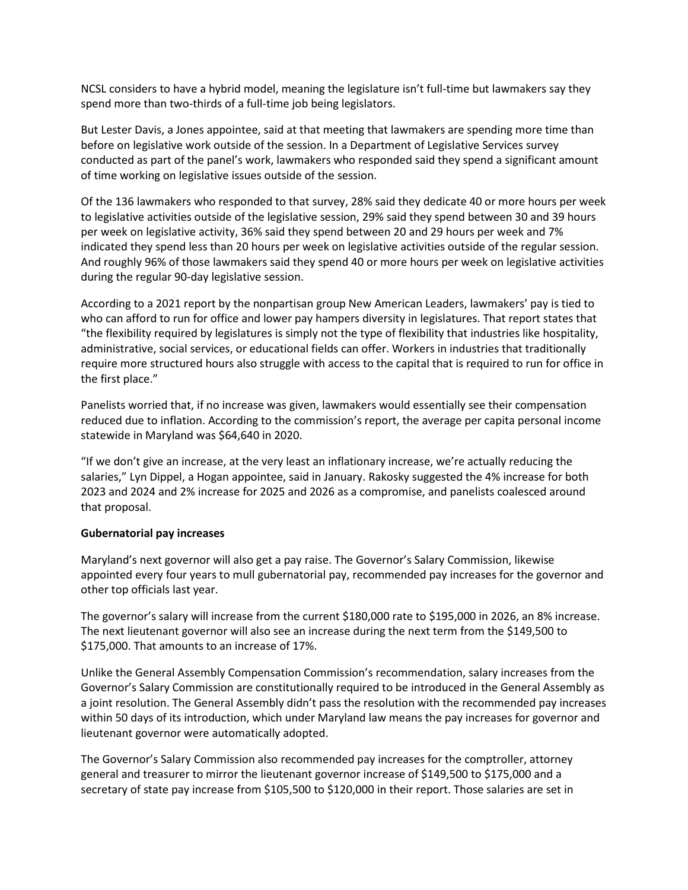NCSL considers to have a hybrid model, meaning the legislature isn't full-time but lawmakers say they spend more than two-thirds of a full-time job being legislators.

But Lester Davis, a Jones appointee, said at that meeting that lawmakers are spending more time than before on legislative work outside of the session. In a Department of Legislative Services survey conducted as part of the panel's work, lawmakers who responded said they spend a significant amount of time working on legislative issues outside of the session.

Of the 136 lawmakers who responded to that survey, 28% said they dedicate 40 or more hours per week to legislative activities outside of the legislative session, 29% said they spend between 30 and 39 hours per week on legislative activity, 36% said they spend between 20 and 29 hours per week and 7% indicated they spend less than 20 hours per week on legislative activities outside of the regular session. And roughly 96% of those lawmakers said they spend 40 or more hours per week on legislative activities during the regular 90-day legislative session.

According to a 2021 report by the nonpartisan group New American Leaders, lawmakers' pay is tied to who can afford to run for office and lower pay hampers diversity in legislatures. That report states that "the flexibility required by legislatures is simply not the type of flexibility that industries like hospitality, administrative, social services, or educational fields can offer. Workers in industries that traditionally require more structured hours also struggle with access to the capital that is required to run for office in the first place."

Panelists worried that, if no increase was given, lawmakers would essentially see their compensation reduced due to inflation. According to the commission's report, the average per capita personal income statewide in Maryland was \$64,640 in 2020.

"If we don't give an increase, at the very least an inflationary increase, we're actually reducing the salaries," Lyn Dippel, a Hogan appointee, said in January. Rakosky suggested the 4% increase for both 2023 and 2024 and 2% increase for 2025 and 2026 as a compromise, and panelists coalesced around that proposal.

## **Gubernatorial pay increases**

Maryland's next governor will also get a pay raise. The Governor's Salary Commission, likewise appointed every four years to mull gubernatorial pay, recommended pay increases for the governor and other top officials last year.

The governor's salary will increase from the current \$180,000 rate to \$195,000 in 2026, an 8% increase. The next lieutenant governor will also see an increase during the next term from the \$149,500 to \$175,000. That amounts to an increase of 17%.

Unlike the General Assembly Compensation Commission's recommendation, salary increases from the Governor's Salary Commission are constitutionally required to be introduced in the General Assembly as a joint resolution. The General Assembly didn't pass the resolution with the recommended pay increases within 50 days of its introduction, which under Maryland law means the pay increases for governor and lieutenant governor were automatically adopted.

The Governor's Salary Commission also recommended pay increases for the comptroller, attorney general and treasurer to mirror the lieutenant governor increase of \$149,500 to \$175,000 and a secretary of state pay increase from \$105,500 to \$120,000 in their report. Those salaries are set in